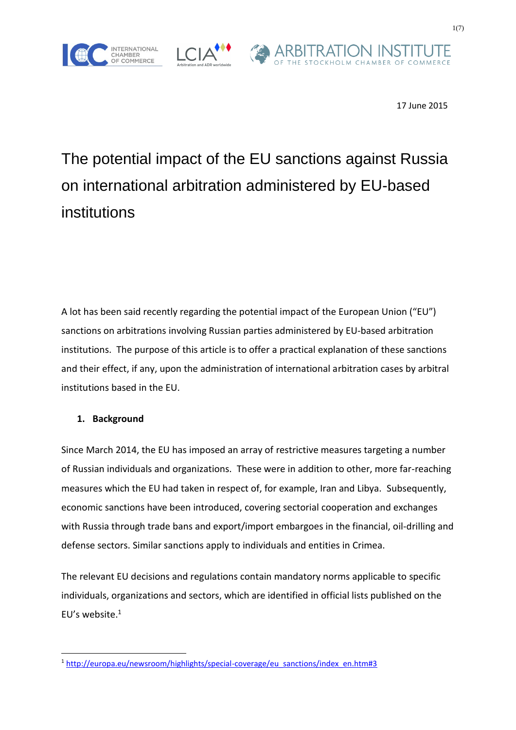





# The potential impact of the EU sanctions against Russia on international arbitration administered by EU-based institutions

A lot has been said recently regarding the potential impact of the European Union ("EU") sanctions on arbitrations involving Russian parties administered by EU-based arbitration institutions. The purpose of this article is to offer a practical explanation of these sanctions and their effect, if any, upon the administration of international arbitration cases by arbitral institutions based in the EU.

## **1. Background**

Since March 2014, the EU has imposed an array of restrictive measures targeting a number of Russian individuals and organizations. These were in addition to other, more far-reaching measures which the EU had taken in respect of, for example, Iran and Libya. Subsequently, economic sanctions have been introduced, covering sectorial cooperation and exchanges with Russia through trade bans and export/import embargoes in the financial, oil-drilling and defense sectors. Similar sanctions apply to individuals and entities in Crimea.

The relevant EU decisions and regulations contain mandatory norms applicable to specific individuals, organizations and sectors, which are identified in official lists published on the EU's website. 1

<sup>&</sup>lt;sup>1</sup> [http://europa.eu/newsroom/highlights/special-coverage/eu\\_sanctions/index\\_en.htm#3](http://europa.eu/newsroom/highlights/special-coverage/eu_sanctions/index_en.htm#3)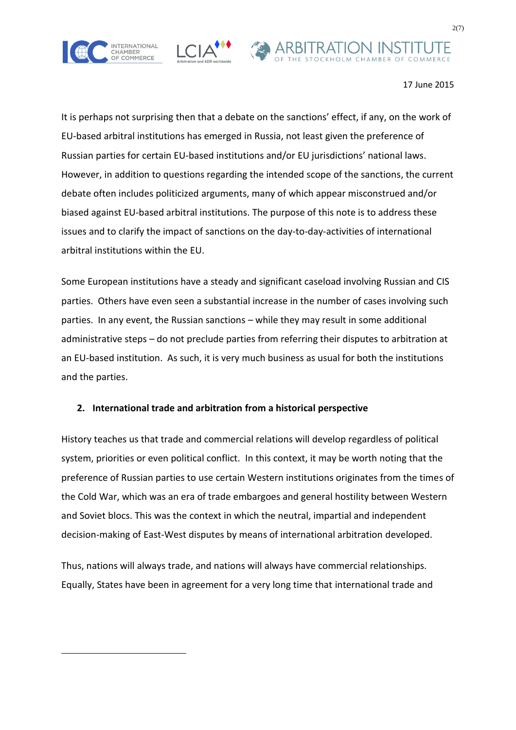





It is perhaps not surprising then that a debate on the sanctions' effect, if any, on the work of EU-based arbitral institutions has emerged in Russia, not least given the preference of Russian parties for certain EU-based institutions and/or EU jurisdictions' national laws. However, in addition to questions regarding the intended scope of the sanctions, the current debate often includes politicized arguments, many of which appear misconstrued and/or biased against EU-based arbitral institutions. The purpose of this note is to address these issues and to clarify the impact of sanctions on the day-to-day-activities of international arbitral institutions within the EU.

Some European institutions have a steady and significant caseload involving Russian and CIS parties. Others have even seen a substantial increase in the number of cases involving such parties. In any event, the Russian sanctions – while they may result in some additional administrative steps – do not preclude parties from referring their disputes to arbitration at an EU-based institution. As such, it is very much business as usual for both the institutions and the parties.

## **2. International trade and arbitration from a historical perspective**

History teaches us that trade and commercial relations will develop regardless of political system, priorities or even political conflict. In this context, it may be worth noting that the preference of Russian parties to use certain Western institutions originates from the times of the Cold War, which was an era of trade embargoes and general hostility between Western and Soviet blocs. This was the context in which the neutral, impartial and independent decision-making of East-West disputes by means of international arbitration developed.

Thus, nations will always trade, and nations will always have commercial relationships. Equally, States have been in agreement for a very long time that international trade and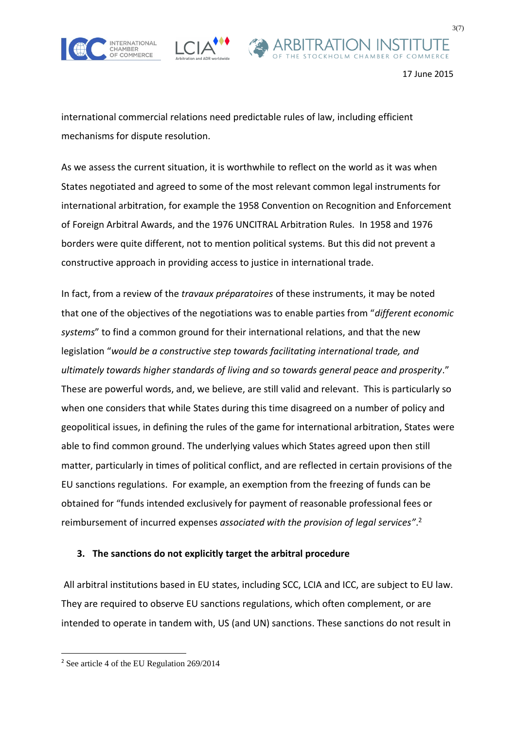





international commercial relations need predictable rules of law, including efficient mechanisms for dispute resolution.

As we assess the current situation, it is worthwhile to reflect on the world as it was when States negotiated and agreed to some of the most relevant common legal instruments for international arbitration, for example the 1958 Convention on Recognition and Enforcement of Foreign Arbitral Awards, and the 1976 UNCITRAL Arbitration Rules. In 1958 and 1976 borders were quite different, not to mention political systems. But this did not prevent a constructive approach in providing access to justice in international trade.

In fact, from a review of the *travaux préparatoires* of these instruments, it may be noted that one of the objectives of the negotiations was to enable parties from "*different economic systems*" to find a common ground for their international relations, and that the new legislation "*would be a constructive step towards facilitating international trade, and ultimately towards higher standards of living and so towards general peace and prosperity*." These are powerful words, and, we believe, are still valid and relevant. This is particularly so when one considers that while States during this time disagreed on a number of policy and geopolitical issues, in defining the rules of the game for international arbitration, States were able to find common ground. The underlying values which States agreed upon then still matter, particularly in times of political conflict, and are reflected in certain provisions of the EU sanctions regulations. For example, an exemption from the freezing of funds can be obtained for "funds intended exclusively for payment of reasonable professional fees or reimbursement of incurred expenses *associated with the provision of legal services"*. 2

## **3. The sanctions do not explicitly target the arbitral procedure**

 All arbitral institutions based in EU states, including SCC, LCIA and ICC, are subject to EU law. They are required to observe EU sanctions regulations, which often complement, or are intended to operate in tandem with, US (and UN) sanctions. These sanctions do not result in

<sup>2</sup> See article 4 of the EU Regulation 269/2014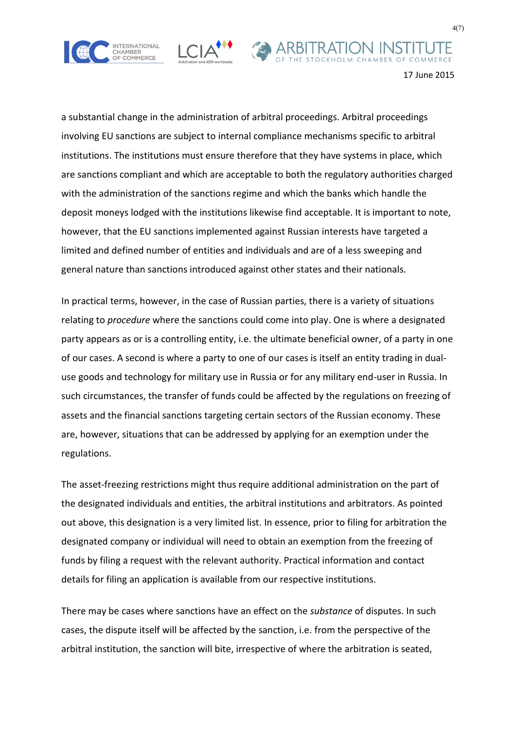





a substantial change in the administration of arbitral proceedings. Arbitral proceedings involving EU sanctions are subject to internal compliance mechanisms specific to arbitral institutions. The institutions must ensure therefore that they have systems in place, which are sanctions compliant and which are acceptable to both the regulatory authorities charged with the administration of the sanctions regime and which the banks which handle the deposit moneys lodged with the institutions likewise find acceptable. It is important to note, however, that the EU sanctions implemented against Russian interests have targeted a limited and defined number of entities and individuals and are of a less sweeping and general nature than sanctions introduced against other states and their nationals.

In practical terms, however, in the case of Russian parties, there is a variety of situations relating to *procedure* where the sanctions could come into play. One is where a designated party appears as or is a controlling entity, i.e. the ultimate beneficial owner, of a party in one of our cases. A second is where a party to one of our cases is itself an entity trading in dualuse goods and technology for military use in Russia or for any military end-user in Russia. In such circumstances, the transfer of funds could be affected by the regulations on freezing of assets and the financial sanctions targeting certain sectors of the Russian economy. These are, however, situations that can be addressed by applying for an exemption under the regulations.

The asset-freezing restrictions might thus require additional administration on the part of the designated individuals and entities, the arbitral institutions and arbitrators. As pointed out above, this designation is a very limited list. In essence, prior to filing for arbitration the designated company or individual will need to obtain an exemption from the freezing of funds by filing a request with the relevant authority. Practical information and contact details for filing an application is available from our respective institutions.

There may be cases where sanctions have an effect on the *substance* of disputes. In such cases, the dispute itself will be affected by the sanction, i.e. from the perspective of the arbitral institution, the sanction will bite, irrespective of where the arbitration is seated,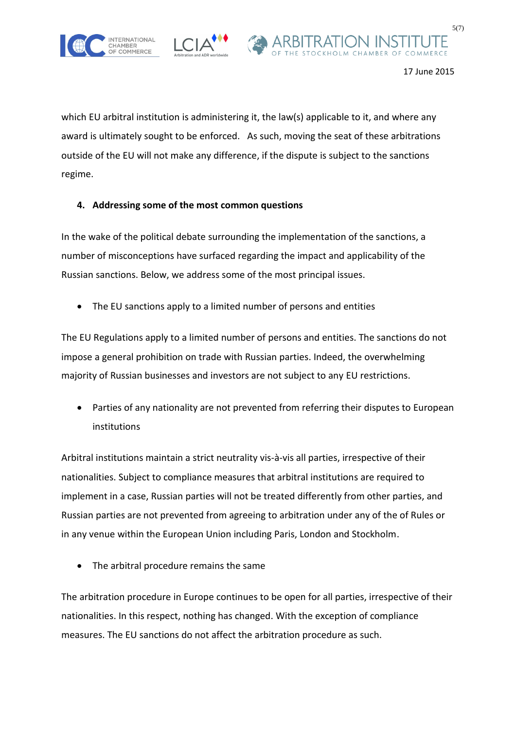





which EU arbitral institution is administering it, the law(s) applicable to it, and where any award is ultimately sought to be enforced. As such, moving the seat of these arbitrations outside of the EU will not make any difference, if the dispute is subject to the sanctions regime.

## **4. Addressing some of the most common questions**

In the wake of the political debate surrounding the implementation of the sanctions, a number of misconceptions have surfaced regarding the impact and applicability of the Russian sanctions. Below, we address some of the most principal issues.

The EU sanctions apply to a limited number of persons and entities

The EU Regulations apply to a limited number of persons and entities. The sanctions do not impose a general prohibition on trade with Russian parties. Indeed, the overwhelming majority of Russian businesses and investors are not subject to any EU restrictions.

 Parties of any nationality are not prevented from referring their disputes to European institutions

Arbitral institutions maintain a strict neutrality vis-à-vis all parties, irrespective of their nationalities. Subject to compliance measures that arbitral institutions are required to implement in a case, Russian parties will not be treated differently from other parties, and Russian parties are not prevented from agreeing to arbitration under any of the of Rules or in any venue within the European Union including Paris, London and Stockholm.

The arbitral procedure remains the same

The arbitration procedure in Europe continues to be open for all parties, irrespective of their nationalities. In this respect, nothing has changed. With the exception of compliance measures. The EU sanctions do not affect the arbitration procedure as such.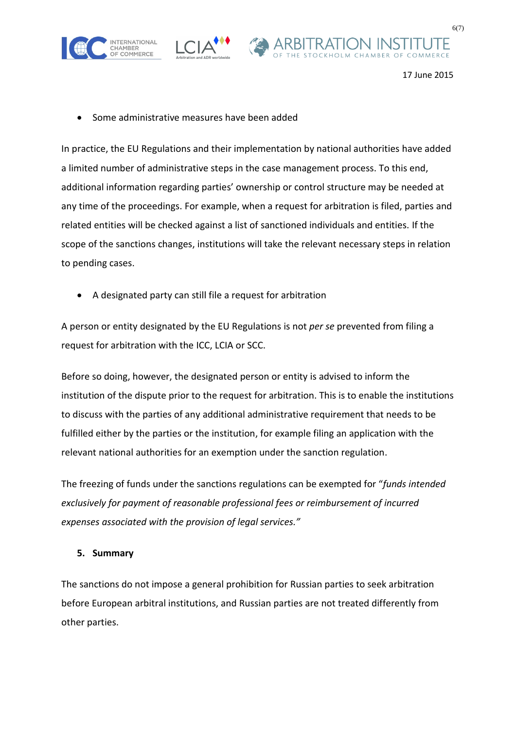





Some administrative measures have been added

In practice, the EU Regulations and their implementation by national authorities have added a limited number of administrative steps in the case management process. To this end, additional information regarding parties' ownership or control structure may be needed at any time of the proceedings. For example, when a request for arbitration is filed, parties and related entities will be checked against a list of sanctioned individuals and entities. If the scope of the sanctions changes, institutions will take the relevant necessary steps in relation to pending cases.

A designated party can still file a request for arbitration

A person or entity designated by the EU Regulations is not *per se* prevented from filing a request for arbitration with the ICC, LCIA or SCC.

Before so doing, however, the designated person or entity is advised to inform the institution of the dispute prior to the request for arbitration. This is to enable the institutions to discuss with the parties of any additional administrative requirement that needs to be fulfilled either by the parties or the institution, for example filing an application with the relevant national authorities for an exemption under the sanction regulation.

The freezing of funds under the sanctions regulations can be exempted for "*funds intended exclusively for payment of reasonable professional fees or reimbursement of incurred expenses associated with the provision of legal services."*

## **5. Summary**

The sanctions do not impose a general prohibition for Russian parties to seek arbitration before European arbitral institutions, and Russian parties are not treated differently from other parties.